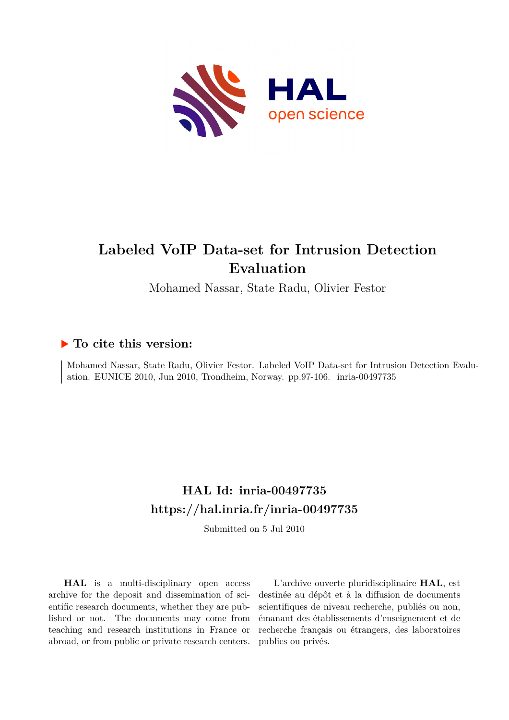

# **Labeled VoIP Data-set for Intrusion Detection Evaluation**

Mohamed Nassar, State Radu, Olivier Festor

# **To cite this version:**

Mohamed Nassar, State Radu, Olivier Festor. Labeled VoIP Data-set for Intrusion Detection Evaluation. EUNICE 2010, Jun 2010, Trondheim, Norway. pp.97-106. inria-00497735

# **HAL Id: inria-00497735 <https://hal.inria.fr/inria-00497735>**

Submitted on 5 Jul 2010

**HAL** is a multi-disciplinary open access archive for the deposit and dissemination of scientific research documents, whether they are published or not. The documents may come from teaching and research institutions in France or abroad, or from public or private research centers.

L'archive ouverte pluridisciplinaire **HAL**, est destinée au dépôt et à la diffusion de documents scientifiques de niveau recherche, publiés ou non, émanant des établissements d'enseignement et de recherche français ou étrangers, des laboratoires publics ou privés.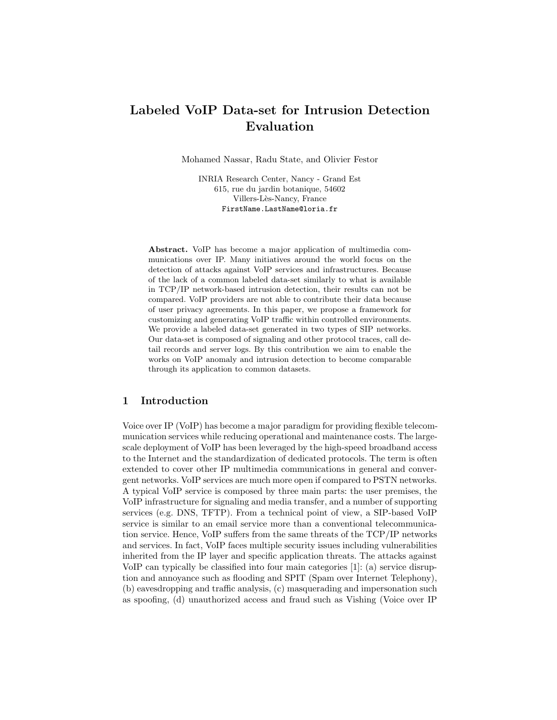# Labeled VoIP Data-set for Intrusion Detection Evaluation

Mohamed Nassar, Radu State, and Olivier Festor

INRIA Research Center, Nancy - Grand Est 615, rue du jardin botanique, 54602 Villers-Lès-Nancy, France FirstName.LastName@loria.fr

Abstract. VoIP has become a major application of multimedia communications over IP. Many initiatives around the world focus on the detection of attacks against VoIP services and infrastructures. Because of the lack of a common labeled data-set similarly to what is available in TCP/IP network-based intrusion detection, their results can not be compared. VoIP providers are not able to contribute their data because of user privacy agreements. In this paper, we propose a framework for customizing and generating VoIP traffic within controlled environments. We provide a labeled data-set generated in two types of SIP networks. Our data-set is composed of signaling and other protocol traces, call detail records and server logs. By this contribution we aim to enable the works on VoIP anomaly and intrusion detection to become comparable through its application to common datasets.

### 1 Introduction

Voice over IP (VoIP) has become a major paradigm for providing flexible telecommunication services while reducing operational and maintenance costs. The largescale deployment of VoIP has been leveraged by the high-speed broadband access to the Internet and the standardization of dedicated protocols. The term is often extended to cover other IP multimedia communications in general and convergent networks. VoIP services are much more open if compared to PSTN networks. A typical VoIP service is composed by three main parts: the user premises, the VoIP infrastructure for signaling and media transfer, and a number of supporting services (e.g. DNS, TFTP). From a technical point of view, a SIP-based VoIP service is similar to an email service more than a conventional telecommunication service. Hence, VoIP suffers from the same threats of the TCP/IP networks and services. In fact, VoIP faces multiple security issues including vulnerabilities inherited from the IP layer and specific application threats. The attacks against VoIP can typically be classified into four main categories [1]: (a) service disruption and annoyance such as flooding and SPIT (Spam over Internet Telephony), (b) eavesdropping and traffic analysis, (c) masquerading and impersonation such as spoofing, (d) unauthorized access and fraud such as Vishing (Voice over IP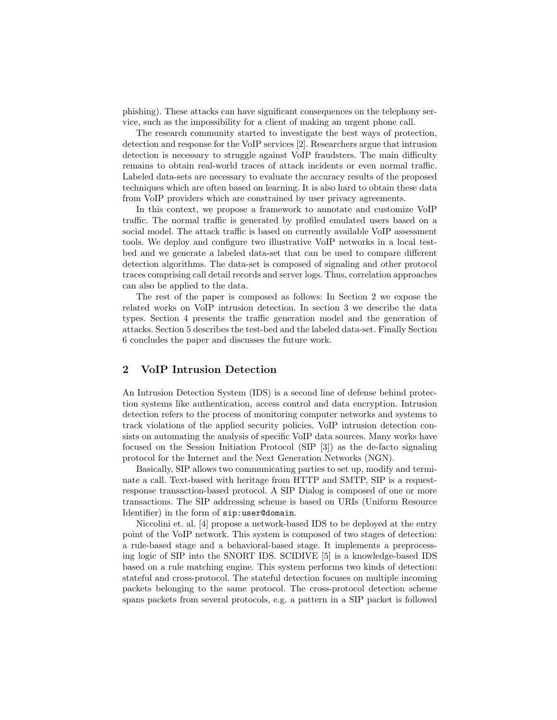phishing). These attacks can have significant consequences on the telephony service, such as the impossibility for a client of making an urgent phone call.

The research community started to investigate the best ways of protection, detection and response for the VoIP services [2]. Researchers argue that intrusion detection is necessary to struggle against VoIP fraudsters. The main difficulty remains to obtain real-world traces of attack incidents or even normal traffic. Labeled data-sets are necessary to evaluate the accuracy results of the proposed techniques which are often based on learning. It is also hard to obtain these data from VoIP providers which are constrained by user privacy agreements.

In this context, we propose a framework to annotate and customize VoIP traffic. The normal traffic is generated by profiled emulated users based on a social model. The attack traffic is based on currently available VoIP assessment tools. We deploy and configure two illustrative VoIP networks in a local testbed and we generate a labeled data-set that can be used to compare different detection algorithms. The data-set is composed of signaling and other protocol traces comprising call detail records and server logs. Thus, correlation approaches can also be applied to the data.

The rest of the paper is composed as follows: In Section 2 we expose the related works on VoIP intrusion detection. In section 3 we describe the data types. Section 4 presents the traffic generation model and the generation of attacks. Section 5 describes the test-bed and the labeled data-set. Finally Section 6 concludes the paper and discusses the future work.

## 2 VoIP Intrusion Detection

An Intrusion Detection System (IDS) is a second line of defense behind protection systems like authentication, access control and data encryption. Intrusion detection refers to the process of monitoring computer networks and systems to track violations of the applied security policies. VoIP intrusion detection consists on automating the analysis of specific VoIP data sources. Many works have focused on the Session Initiation Protocol (SIP [3]) as the de-facto signaling protocol for the Internet and the Next Generation Networks (NGN).

Basically, SIP allows two communicating parties to set up, modify and terminate a call. Text-based with heritage from HTTP and SMTP, SIP is a requestresponse transaction-based protocol. A SIP Dialog is composed of one or more transactions. The SIP addressing scheme is based on URIs (Uniform Resource Identifier) in the form of sip:user@domain.

Niccolini et. al. [4] propose a network-based IDS to be deployed at the entry point of the VoIP network. This system is composed of two stages of detection: a rule-based stage and a behavioral-based stage. It implements a preprocessing logic of SIP into the SNORT IDS. SCIDIVE [5] is a knowledge-based IDS based on a rule matching engine. This system performs two kinds of detection: stateful and cross-protocol. The stateful detection focuses on multiple incoming packets belonging to the same protocol. The cross-protocol detection scheme spans packets from several protocols, e.g. a pattern in a SIP packet is followed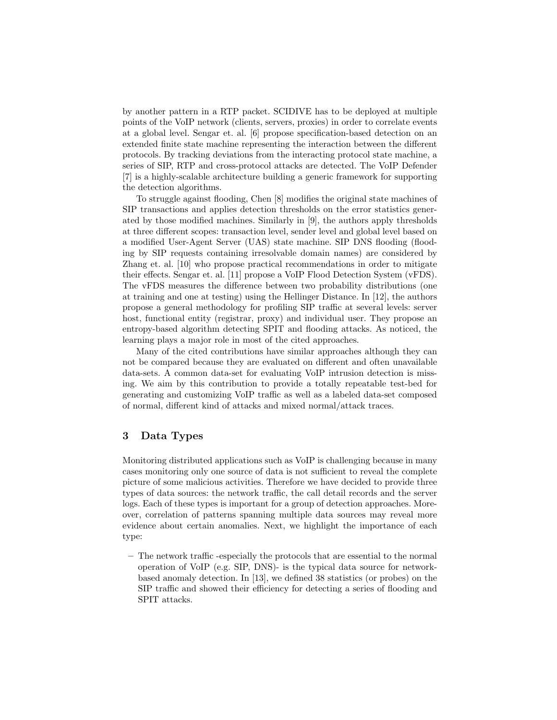by another pattern in a RTP packet. SCIDIVE has to be deployed at multiple points of the VoIP network (clients, servers, proxies) in order to correlate events at a global level. Sengar et. al. [6] propose specification-based detection on an extended finite state machine representing the interaction between the different protocols. By tracking deviations from the interacting protocol state machine, a series of SIP, RTP and cross-protocol attacks are detected. The VoIP Defender [7] is a highly-scalable architecture building a generic framework for supporting the detection algorithms.

To struggle against flooding, Chen [8] modifies the original state machines of SIP transactions and applies detection thresholds on the error statistics generated by those modified machines. Similarly in [9], the authors apply thresholds at three different scopes: transaction level, sender level and global level based on a modified User-Agent Server (UAS) state machine. SIP DNS flooding (flooding by SIP requests containing irresolvable domain names) are considered by Zhang et. al. [10] who propose practical recommendations in order to mitigate their effects. Sengar et. al. [11] propose a VoIP Flood Detection System (vFDS). The vFDS measures the difference between two probability distributions (one at training and one at testing) using the Hellinger Distance. In [12], the authors propose a general methodology for profiling SIP traffic at several levels: server host, functional entity (registrar, proxy) and individual user. They propose an entropy-based algorithm detecting SPIT and flooding attacks. As noticed, the learning plays a major role in most of the cited approaches.

Many of the cited contributions have similar approaches although they can not be compared because they are evaluated on different and often unavailable data-sets. A common data-set for evaluating VoIP intrusion detection is missing. We aim by this contribution to provide a totally repeatable test-bed for generating and customizing VoIP traffic as well as a labeled data-set composed of normal, different kind of attacks and mixed normal/attack traces.

## 3 Data Types

Monitoring distributed applications such as VoIP is challenging because in many cases monitoring only one source of data is not sufficient to reveal the complete picture of some malicious activities. Therefore we have decided to provide three types of data sources: the network traffic, the call detail records and the server logs. Each of these types is important for a group of detection approaches. Moreover, correlation of patterns spanning multiple data sources may reveal more evidence about certain anomalies. Next, we highlight the importance of each type:

– The network traffic -especially the protocols that are essential to the normal operation of VoIP (e.g. SIP, DNS)- is the typical data source for networkbased anomaly detection. In [13], we defined 38 statistics (or probes) on the SIP traffic and showed their efficiency for detecting a series of flooding and SPIT attacks.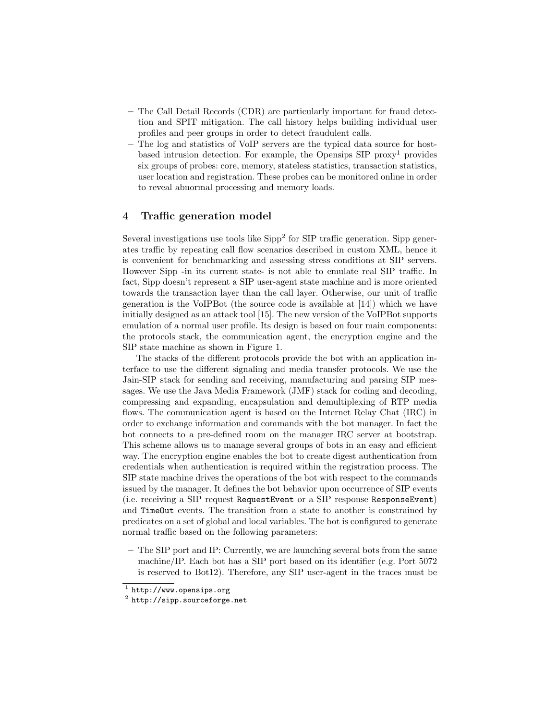- The Call Detail Records (CDR) are particularly important for fraud detection and SPIT mitigation. The call history helps building individual user profiles and peer groups in order to detect fraudulent calls.
- The log and statistics of VoIP servers are the typical data source for hostbased intrusion detection. For example, the Opensips  $\text{SIP}$  proxy<sup>1</sup> provides six groups of probes: core, memory, stateless statistics, transaction statistics, user location and registration. These probes can be monitored online in order to reveal abnormal processing and memory loads.

#### 4 Traffic generation model

Several investigations use tools like Sipp<sup>2</sup> for SIP traffic generation. Sipp generates traffic by repeating call flow scenarios described in custom XML, hence it is convenient for benchmarking and assessing stress conditions at SIP servers. However Sipp -in its current state- is not able to emulate real SIP traffic. In fact, Sipp doesn't represent a SIP user-agent state machine and is more oriented towards the transaction layer than the call layer. Otherwise, our unit of traffic generation is the VoIPBot (the source code is available at [14]) which we have initially designed as an attack tool [15]. The new version of the VoIPBot supports emulation of a normal user profile. Its design is based on four main components: the protocols stack, the communication agent, the encryption engine and the SIP state machine as shown in Figure 1.

The stacks of the different protocols provide the bot with an application interface to use the different signaling and media transfer protocols. We use the Jain-SIP stack for sending and receiving, manufacturing and parsing SIP messages. We use the Java Media Framework (JMF) stack for coding and decoding, compressing and expanding, encapsulation and demultiplexing of RTP media flows. The communication agent is based on the Internet Relay Chat (IRC) in order to exchange information and commands with the bot manager. In fact the bot connects to a pre-defined room on the manager IRC server at bootstrap. This scheme allows us to manage several groups of bots in an easy and efficient way. The encryption engine enables the bot to create digest authentication from credentials when authentication is required within the registration process. The SIP state machine drives the operations of the bot with respect to the commands issued by the manager. It defines the bot behavior upon occurrence of SIP events (i.e. receiving a SIP request RequestEvent or a SIP response ResponseEvent) and TimeOut events. The transition from a state to another is constrained by predicates on a set of global and local variables. The bot is configured to generate normal traffic based on the following parameters:

– The SIP port and IP: Currently, we are launching several bots from the same machine/IP. Each bot has a SIP port based on its identifier (e.g. Port 5072 is reserved to Bot12). Therefore, any SIP user-agent in the traces must be

 $^1$  http://www.opensips.org

<sup>2</sup> http://sipp.sourceforge.net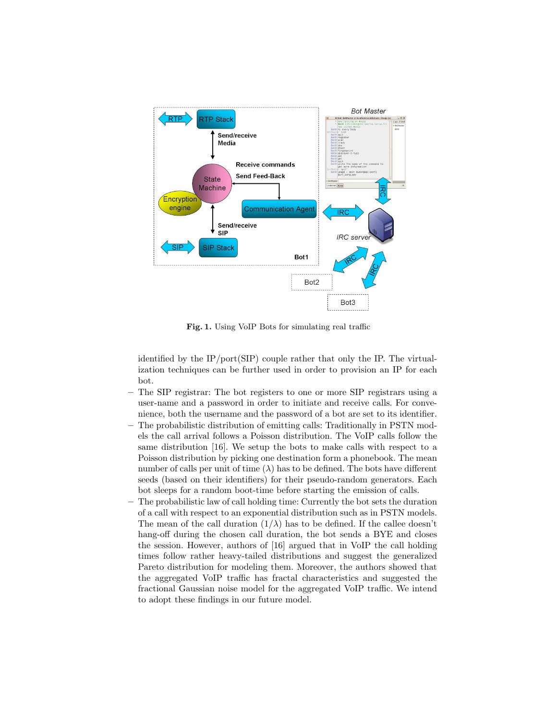

Fig. 1. Using VoIP Bots for simulating real traffic

identified by the IP/port(SIP) couple rather that only the IP. The virtualization techniques can be further used in order to provision an IP for each bot.

- The SIP registrar: The bot registers to one or more SIP registrars using a user-name and a password in order to initiate and receive calls. For convenience, both the username and the password of a bot are set to its identifier.
- The probabilistic distribution of emitting calls: Traditionally in PSTN models the call arrival follows a Poisson distribution. The VoIP calls follow the same distribution [16]. We setup the bots to make calls with respect to a Poisson distribution by picking one destination form a phonebook. The mean number of calls per unit of time  $(\lambda)$  has to be defined. The bots have different seeds (based on their identifiers) for their pseudo-random generators. Each bot sleeps for a random boot-time before starting the emission of calls.
- The probabilistic law of call holding time: Currently the bot sets the duration of a call with respect to an exponential distribution such as in PSTN models. The mean of the call duration  $(1/\lambda)$  has to be defined. If the callee doesn't hang-off during the chosen call duration, the bot sends a BYE and closes the session. However, authors of [16] argued that in VoIP the call holding times follow rather heavy-tailed distributions and suggest the generalized Pareto distribution for modeling them. Moreover, the authors showed that the aggregated VoIP traffic has fractal characteristics and suggested the fractional Gaussian noise model for the aggregated VoIP traffic. We intend to adopt these findings in our future model.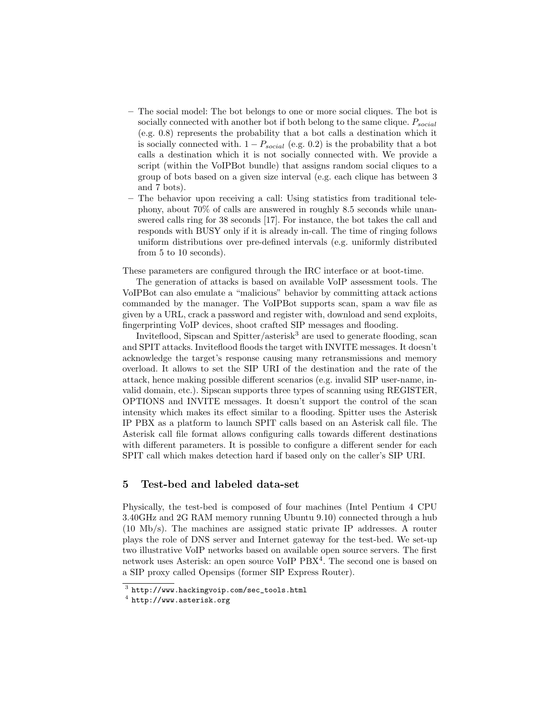- The social model: The bot belongs to one or more social cliques. The bot is socially connected with another bot if both belong to the same clique.  $P_{social}$ (e.g. 0.8) represents the probability that a bot calls a destination which it is socially connected with.  $1 - P_{social}$  (e.g. 0.2) is the probability that a bot calls a destination which it is not socially connected with. We provide a script (within the VoIPBot bundle) that assigns random social cliques to a group of bots based on a given size interval (e.g. each clique has between 3 and 7 bots).
- The behavior upon receiving a call: Using statistics from traditional telephony, about 70% of calls are answered in roughly 8.5 seconds while unanswered calls ring for 38 seconds [17]. For instance, the bot takes the call and responds with BUSY only if it is already in-call. The time of ringing follows uniform distributions over pre-defined intervals (e.g. uniformly distributed from 5 to 10 seconds).

These parameters are configured through the IRC interface or at boot-time.

The generation of attacks is based on available VoIP assessment tools. The VoIPBot can also emulate a "malicious" behavior by committing attack actions commanded by the manager. The VoIPBot supports scan, spam a wav file as given by a URL, crack a password and register with, download and send exploits, fingerprinting VoIP devices, shoot crafted SIP messages and flooding.

Inviteflood, Sipscan and Spitter/asterisk<sup>3</sup> are used to generate flooding, scan and SPIT attacks. Inviteflood floods the target with INVITE messages. It doesn't acknowledge the target's response causing many retransmissions and memory overload. It allows to set the SIP URI of the destination and the rate of the attack, hence making possible different scenarios (e.g. invalid SIP user-name, invalid domain, etc.). Sipscan supports three types of scanning using REGISTER, OPTIONS and INVITE messages. It doesn't support the control of the scan intensity which makes its effect similar to a flooding. Spitter uses the Asterisk IP PBX as a platform to launch SPIT calls based on an Asterisk call file. The Asterisk call file format allows configuring calls towards different destinations with different parameters. It is possible to configure a different sender for each SPIT call which makes detection hard if based only on the caller's SIP URI.

### 5 Test-bed and labeled data-set

Physically, the test-bed is composed of four machines (Intel Pentium 4 CPU 3.40GHz and 2G RAM memory running Ubuntu 9.10) connected through a hub (10 Mb/s). The machines are assigned static private IP addresses. A router plays the role of DNS server and Internet gateway for the test-bed. We set-up two illustrative VoIP networks based on available open source servers. The first network uses Asterisk: an open source VoIP PBX<sup>4</sup> . The second one is based on a SIP proxy called Opensips (former SIP Express Router).

 $^3$  http://www.hackingvoip.com/sec\_tools.html

<sup>4</sup> http://www.asterisk.org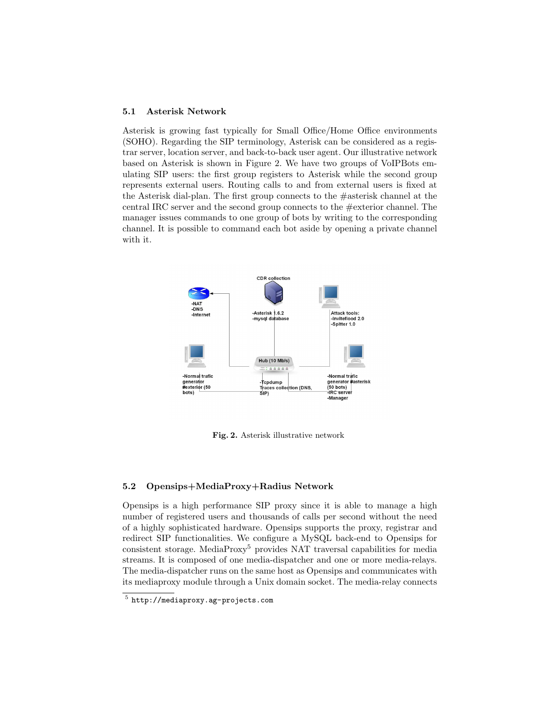#### 5.1 Asterisk Network

Asterisk is growing fast typically for Small Office/Home Office environments (SOHO). Regarding the SIP terminology, Asterisk can be considered as a registrar server, location server, and back-to-back user agent. Our illustrative network based on Asterisk is shown in Figure 2. We have two groups of VoIPBots emulating SIP users: the first group registers to Asterisk while the second group represents external users. Routing calls to and from external users is fixed at the Asterisk dial-plan. The first group connects to the #asterisk channel at the central IRC server and the second group connects to the #exterior channel. The manager issues commands to one group of bots by writing to the corresponding channel. It is possible to command each bot aside by opening a private channel with it.



Fig. 2. Asterisk illustrative network

#### 5.2 Opensips+MediaProxy+Radius Network

Opensips is a high performance SIP proxy since it is able to manage a high number of registered users and thousands of calls per second without the need of a highly sophisticated hardware. Opensips supports the proxy, registrar and redirect SIP functionalities. We configure a MySQL back-end to Opensips for consistent storage. MediaProxy<sup>5</sup> provides NAT traversal capabilities for media streams. It is composed of one media-dispatcher and one or more media-relays. The media-dispatcher runs on the same host as Opensips and communicates with its mediaproxy module through a Unix domain socket. The media-relay connects

 $5$  http://mediaproxy.ag-projects.com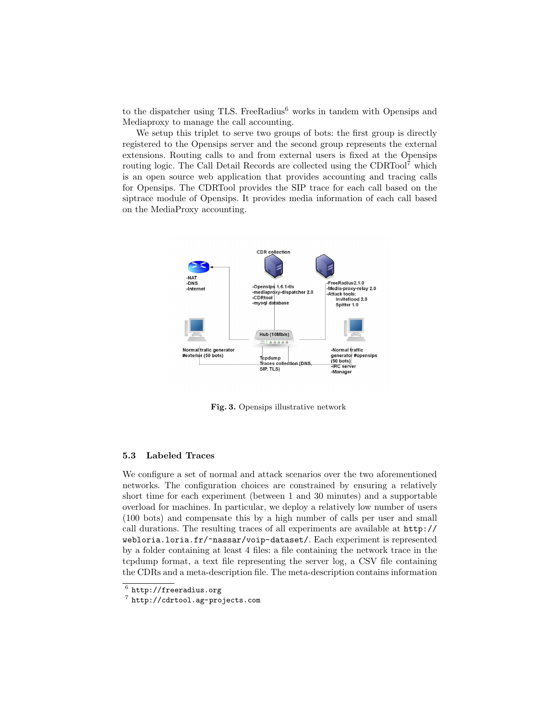to the dispatcher using TLS. FreeRadius $<sup>6</sup>$  works in tandem with Opensips and</sup> Mediaproxy to manage the call accounting.

We setup this triplet to serve two groups of bots: the first group is directly registered to the Opensips server and the second group represents the external extensions. Routing calls to and from external users is fixed at the Opensips routing logic. The Call Detail Records are collected using the CDRTool<sup>7</sup> which is an open source web application that provides accounting and tracing calls for Opensips. The CDRTool provides the SIP trace for each call based on the siptrace module of Opensips. It provides media information of each call based on the MediaProxy accounting.



Fig. 3. Opensips illustrative network

#### 5.3 Labeled Traces

We configure a set of normal and attack scenarios over the two aforementioned networks. The configuration choices are constrained by ensuring a relatively short time for each experiment (between 1 and 30 minutes) and a supportable overload for machines. In particular, we deploy a relatively low number of users (100 bots) and compensate this by a high number of calls per user and small call durations. The resulting traces of all experiments are available at http:// webloria.loria.fr/~nassar/voip-dataset/. Each experiment is represented by a folder containing at least 4 files: a file containing the network trace in the tcpdump format, a text file representing the server log, a CSV file containing the CDRs and a meta-description file. The meta-description contains information

 $^6$  http://freeradius.org

<sup>7</sup> http://cdrtool.ag-projects.com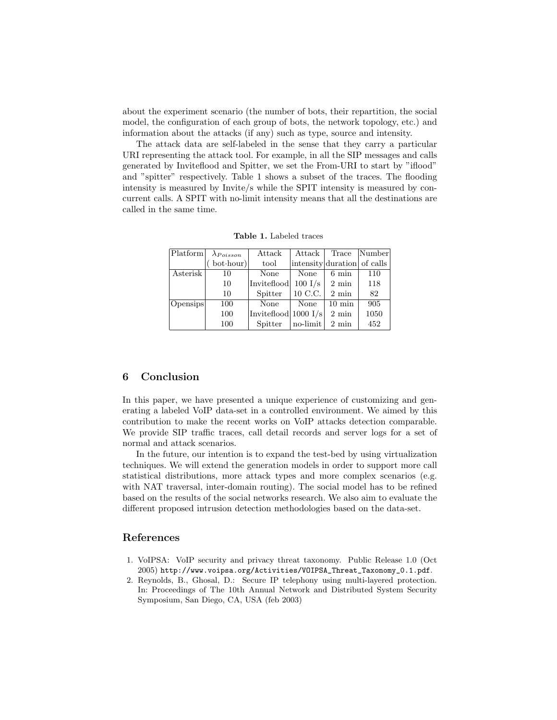about the experiment scenario (the number of bots, their repartition, the social model, the configuration of each group of bots, the network topology, etc.) and information about the attacks (if any) such as type, source and intensity.

The attack data are self-labeled in the sense that they carry a particular URI representing the attack tool. For example, in all the SIP messages and calls generated by Inviteflood and Spitter, we set the From-URI to start by "iflood" and "spitter" respectively. Table 1 shows a subset of the traces. The flooding intensity is measured by Invite/s while the SPIT intensity is measured by concurrent calls. A SPIT with no-limit intensity means that all the destinations are called in the same time.

| Platform | $\lambda_{Poisson}$ | Attack                                       | Attack                      | Trace            | Number |
|----------|---------------------|----------------------------------------------|-----------------------------|------------------|--------|
|          | $bot \cdot hour)$   | tool                                         | intensity duration of calls |                  |        |
| Asterisk | 10                  | None                                         | None                        | $6 \text{ min}$  | 110    |
|          | 10                  | Inviteflood                                  | $100$ I/s                   | $2 \text{ min}$  | 118    |
|          | 10                  | Spitter                                      | 10 C.C.                     | $2 \text{ min}$  | 82     |
| Opensips | 100                 | None                                         | None                        | $10 \text{ min}$ | 905    |
|          | 100                 | $\vert$ Inviteflood $\vert$ 1000 I/s $\vert$ |                             | $2 \text{ min}$  | 1050   |
|          | 100                 | Spitter                                      | no-limit                    | $2 \text{ min}$  | 452    |

Table 1. Labeled traces

#### 6 Conclusion

In this paper, we have presented a unique experience of customizing and generating a labeled VoIP data-set in a controlled environment. We aimed by this contribution to make the recent works on VoIP attacks detection comparable. We provide SIP traffic traces, call detail records and server logs for a set of normal and attack scenarios.

In the future, our intention is to expand the test-bed by using virtualization techniques. We will extend the generation models in order to support more call statistical distributions, more attack types and more complex scenarios (e.g. with NAT traversal, inter-domain routing). The social model has to be refined based on the results of the social networks research. We also aim to evaluate the different proposed intrusion detection methodologies based on the data-set.

### References

- 1. VoIPSA: VoIP security and privacy threat taxonomy. Public Release 1.0 (Oct 2005) http://www.voipsa.org/Activities/VOIPSA\_Threat\_Taxonomy\_0.1.pdf.
- 2. Reynolds, B., Ghosal, D.: Secure IP telephony using multi-layered protection. In: Proceedings of The 10th Annual Network and Distributed System Security Symposium, San Diego, CA, USA (feb 2003)